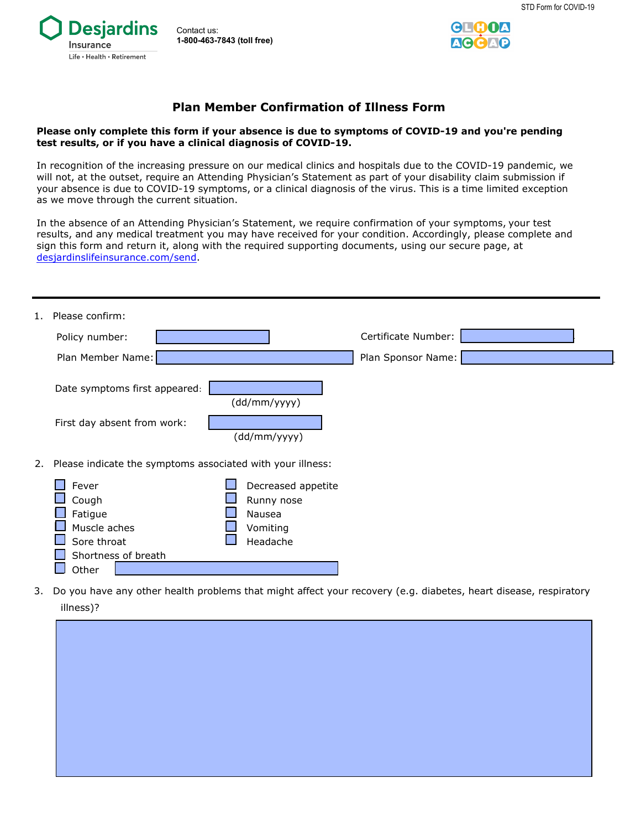



## **Plan Member Confirmation of Illness Form**

## **Please only complete this form if your absence is due to symptoms of COVID-19 and you're pending test results, or if you have a clinical diagnosis of COVID-19.**

 will not, at the outset, require an Attending Physician's Statement as part of your disability claim submission if In recognition of the increasing pressure on our medical clinics and hospitals due to the COVID-19 pandemic, we your absence is due to COVID-19 symptoms, or a clinical diagnosis of the virus. This is a time limited exception as we move through the current situation.

In the absence of an Attending Physician's Statement, we require confirmation of your symptoms, your test results, and any medical treatment you may have received for your condition. Accordingly, please complete and sign this form and return it, along with the required supporting documents, using our secure page, at [desjardinslifeinsurance.com/send.](https://www.lifeinsurance.desjardins.com/envoyerdocuments/?utm_campaign=vanity-url&utm_medium=vanity&utm_source=desjardinsassurancevie&utm_content=/send&r=1)

| $\mathbf{1}$ . | Please confirm:                                                                                                                                                |                     |
|----------------|----------------------------------------------------------------------------------------------------------------------------------------------------------------|---------------------|
|                | Policy number:                                                                                                                                                 | Certificate Number: |
|                | Plan Member Name:                                                                                                                                              | Plan Sponsor Name:  |
|                | Date symptoms first appeared:<br>(dd/mm/yyyy)                                                                                                                  |                     |
|                | First day absent from work:                                                                                                                                    |                     |
|                | (dd/mm/yyyy)                                                                                                                                                   |                     |
| 2.             | Please indicate the symptoms associated with your illness:                                                                                                     |                     |
|                | Fever<br>Decreased appetite<br>Cough<br>Runny nose<br>Fatigue<br>Nausea<br>Muscle aches<br>Vomiting<br>Sore throat<br>Headache<br>Shortness of breath<br>Other |                     |

3. Do you have any other health problems that might affect your recovery (e.g. diabetes, heart disease, respiratory illness)?